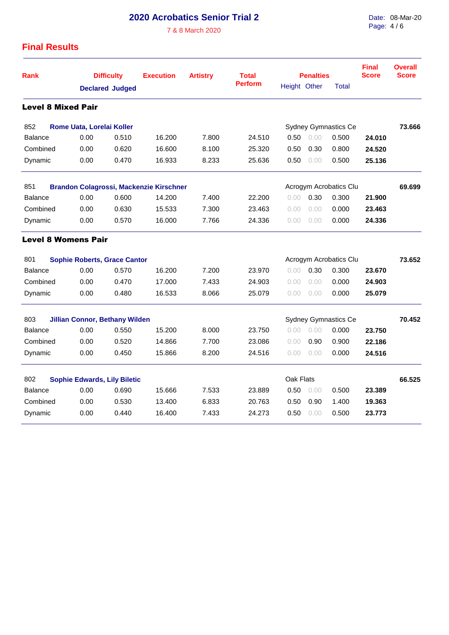## **2020 Acrobatics Senior Trial 2**

7 & 8 March 2020

Date: 08-Mar-20 Page: 4 / 6

## **Final Results**

| <b>Rank</b>                                                                     | <b>Difficulty</b><br><b>Declared Judged</b> |       | <b>Execution</b> | <b>Artistry</b> | <b>Total</b>   |                        | <b>Penalties</b> | <b>Final</b><br><b>Score</b> | <b>Overall</b><br><b>Score</b> |              |
|---------------------------------------------------------------------------------|---------------------------------------------|-------|------------------|-----------------|----------------|------------------------|------------------|------------------------------|--------------------------------|--------------|
|                                                                                 |                                             |       |                  |                 | <b>Perform</b> | Height Other           |                  |                              |                                | <b>Total</b> |
| <b>Level 8 Mixed Pair</b>                                                       |                                             |       |                  |                 |                |                        |                  |                              |                                |              |
| 852                                                                             | Rome Uata, Lorelai Koller                   |       |                  |                 |                |                        |                  | <b>Sydney Gymnastics Ce</b>  |                                | 73.666       |
| <b>Balance</b>                                                                  | 0.00                                        | 0.510 | 16.200           | 7.800           | 24.510         | 0.50                   | 0.00             | 0.500                        | 24.010                         |              |
| Combined                                                                        | 0.00                                        | 0.620 | 16.600           | 8.100           | 25.320         | 0.50                   | 0.30             | 0.800                        | 24.520                         |              |
| Dynamic                                                                         | 0.00                                        | 0.470 | 16.933           | 8.233           | 25.636         | 0.50                   | 0.00             | 0.500                        | 25.136                         |              |
| 851<br><b>Brandon Colagrossi, Mackenzie Kirschner</b><br>Acrogym Acrobatics Clu |                                             |       |                  |                 |                |                        |                  |                              |                                | 69.699       |
| <b>Balance</b>                                                                  | 0.00                                        | 0.600 | 14.200           | 7.400           | 22.200         | 0.00                   | 0.30             | 0.300                        | 21.900                         |              |
| Combined                                                                        | 0.00                                        | 0.630 | 15.533           | 7.300           | 23.463         | 0.00                   | 0.00             | 0.000                        | 23.463                         |              |
| Dynamic                                                                         | 0.00                                        | 0.570 | 16.000           | 7.766           | 24.336         | 0.00                   | 0.00             | 0.000                        | 24.336                         |              |
| <b>Level 8 Womens Pair</b>                                                      |                                             |       |                  |                 |                |                        |                  |                              |                                |              |
| 801<br><b>Sophie Roberts, Grace Cantor</b>                                      |                                             |       |                  |                 |                | Acrogym Acrobatics Clu |                  |                              |                                | 73.652       |
| <b>Balance</b>                                                                  | 0.00                                        | 0.570 | 16.200           | 7.200           | 23.970         | 0.00                   | 0.30             | 0.300                        | 23.670                         |              |
| Combined                                                                        | 0.00                                        | 0.470 | 17.000           | 7.433           | 24.903         | 0.00                   | 0.00             | 0.000                        | 24.903                         |              |
| Dynamic                                                                         | 0.00                                        | 0.480 | 16.533           | 8.066           | 25.079         | 0.00                   | 0.00             | 0.000                        | 25.079                         |              |
| 803                                                                             | <b>Jillian Connor, Bethany Wilden</b>       |       |                  |                 |                |                        |                  | <b>Sydney Gymnastics Ce</b>  |                                | 70.452       |
| <b>Balance</b>                                                                  | 0.00                                        | 0.550 | 15.200           | 8.000           | 23.750         | 0.00                   | 0.00             | 0.000                        | 23.750                         |              |
| Combined                                                                        | 0.00                                        | 0.520 | 14.866           | 7.700           | 23.086         | 0.00                   | 0.90             | 0.900                        | 22.186                         |              |
| Dynamic                                                                         | 0.00                                        | 0.450 | 15.866           | 8.200           | 24.516         | 0.00                   | 0.00             | 0.000                        | 24.516                         |              |
| 802                                                                             | <b>Sophie Edwards, Lily Biletic</b>         |       |                  |                 |                | Oak Flats              |                  |                              |                                | 66.525       |
| <b>Balance</b>                                                                  | 0.00                                        | 0.690 | 15.666           | 7.533           | 23.889         | 0.50                   | 0.00             | 0.500                        | 23.389                         |              |
| Combined                                                                        | 0.00                                        | 0.530 | 13.400           | 6.833           | 20.763         | 0.50                   | 0.90             | 1.400                        | 19.363                         |              |
| Dynamic                                                                         | 0.00                                        | 0.440 | 16.400           | 7.433           | 24.273         | 0.50                   | 0.00             | 0.500                        | 23.773                         |              |